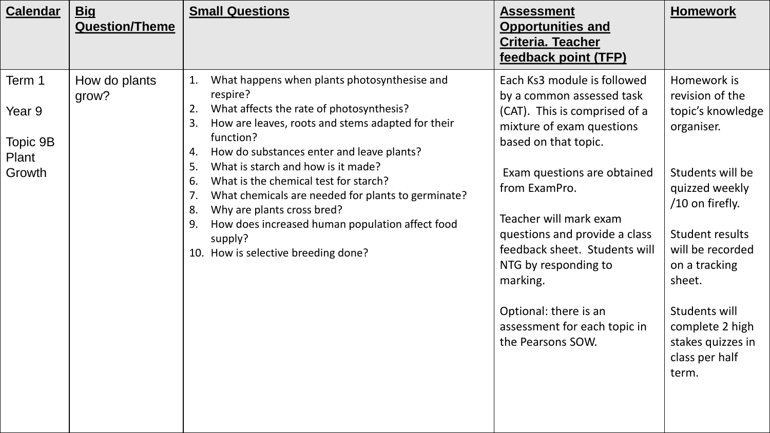| <b>Calendar</b>                                 | <u>Big</u><br><b>Question/Theme</b> | <b>Small Questions</b>                                                                                                                                                                                                                                                                                                                                                                                                                                                                                                                            | <b>Assessment</b><br><b>Opportunities and</b><br><b>Criteria. Teacher</b><br>feedback point (TFP)                                                                                                                                                                                                                                                                                                            | <b>Homework</b>                                                                                                                                                                                                                                                                    |
|-------------------------------------------------|-------------------------------------|---------------------------------------------------------------------------------------------------------------------------------------------------------------------------------------------------------------------------------------------------------------------------------------------------------------------------------------------------------------------------------------------------------------------------------------------------------------------------------------------------------------------------------------------------|--------------------------------------------------------------------------------------------------------------------------------------------------------------------------------------------------------------------------------------------------------------------------------------------------------------------------------------------------------------------------------------------------------------|------------------------------------------------------------------------------------------------------------------------------------------------------------------------------------------------------------------------------------------------------------------------------------|
| Term 1<br>Year 9<br>Topic 9B<br>Plant<br>Growth | How do plants<br>grow?              | What happens when plants photosynthesise and<br>1.<br>respire?<br>What affects the rate of photosynthesis?<br>2.<br>How are leaves, roots and stems adapted for their<br>3.<br>function?<br>How do substances enter and leave plants?<br>4.<br>What is starch and how is it made?<br>5.<br>What is the chemical test for starch?<br>6.<br>What chemicals are needed for plants to germinate?<br>7.<br>Why are plants cross bred?<br>8.<br>How does increased human population affect food<br>9.<br>supply?<br>10. How is selective breeding done? | Each Ks3 module is followed<br>by a common assessed task<br>(CAT). This is comprised of a<br>mixture of exam questions<br>based on that topic.<br>Exam questions are obtained<br>from ExamPro.<br>Teacher will mark exam<br>questions and provide a class<br>feedback sheet. Students will<br>NTG by responding to<br>marking.<br>Optional: there is an<br>assessment for each topic in<br>the Pearsons SOW. | Homework is<br>revision of the<br>topic's knowledge<br>organiser.<br>Students will be<br>quizzed weekly<br>$/10$ on firefly.<br>Student results<br>will be recorded<br>on a tracking<br>sheet.<br>Students will<br>complete 2 high<br>stakes quizzes in<br>class per half<br>term. |
|                                                 |                                     |                                                                                                                                                                                                                                                                                                                                                                                                                                                                                                                                                   |                                                                                                                                                                                                                                                                                                                                                                                                              |                                                                                                                                                                                                                                                                                    |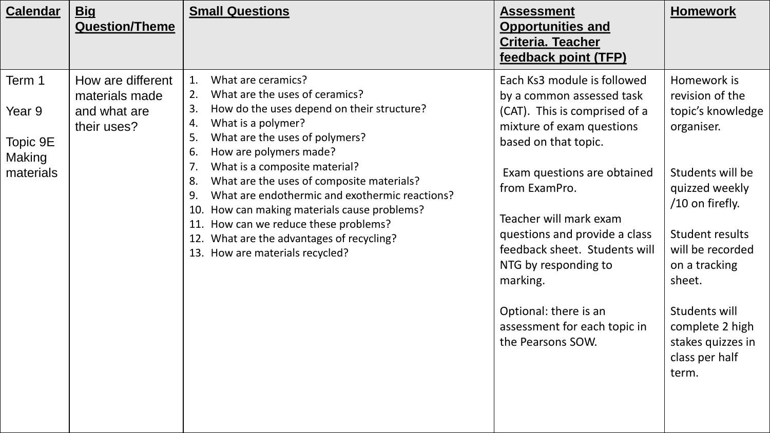| <b>Calendar</b><br><u>Big</u><br><b>Question/Theme</b>                                                                    | <b>Small Questions</b>                                                                                                                                                                                                                                                                                                                                                                                                                                                                                                                                       | <b>Assessment</b><br><b>Opportunities and</b><br><b>Criteria. Teacher</b><br>feedback point (TFP)                                                                                                                                                                                                                                                                                                            | <b>Homework</b>                                                                                                                                                                                                                                                                    |
|---------------------------------------------------------------------------------------------------------------------------|--------------------------------------------------------------------------------------------------------------------------------------------------------------------------------------------------------------------------------------------------------------------------------------------------------------------------------------------------------------------------------------------------------------------------------------------------------------------------------------------------------------------------------------------------------------|--------------------------------------------------------------------------------------------------------------------------------------------------------------------------------------------------------------------------------------------------------------------------------------------------------------------------------------------------------------------------------------------------------------|------------------------------------------------------------------------------------------------------------------------------------------------------------------------------------------------------------------------------------------------------------------------------------|
| Term 1<br>How are different<br>materials made<br>Year 9<br>and what are<br>their uses?<br>Topic 9E<br>Making<br>materials | What are ceramics?<br>1.<br>What are the uses of ceramics?<br>2.<br>How do the uses depend on their structure?<br>3.<br>What is a polymer?<br>4.<br>What are the uses of polymers?<br>5.<br>How are polymers made?<br>6.<br>7.<br>What is a composite material?<br>What are the uses of composite materials?<br>8.<br>What are endothermic and exothermic reactions?<br>9.<br>How can making materials cause problems?<br>10.<br>How can we reduce these problems?<br>11.<br>What are the advantages of recycling?<br>12.<br>13. How are materials recycled? | Each Ks3 module is followed<br>by a common assessed task<br>(CAT). This is comprised of a<br>mixture of exam questions<br>based on that topic.<br>Exam questions are obtained<br>from ExamPro.<br>Teacher will mark exam<br>questions and provide a class<br>feedback sheet. Students will<br>NTG by responding to<br>marking.<br>Optional: there is an<br>assessment for each topic in<br>the Pearsons SOW. | Homework is<br>revision of the<br>topic's knowledge<br>organiser.<br>Students will be<br>quizzed weekly<br>$/10$ on firefly.<br>Student results<br>will be recorded<br>on a tracking<br>sheet.<br>Students will<br>complete 2 high<br>stakes quizzes in<br>class per half<br>term. |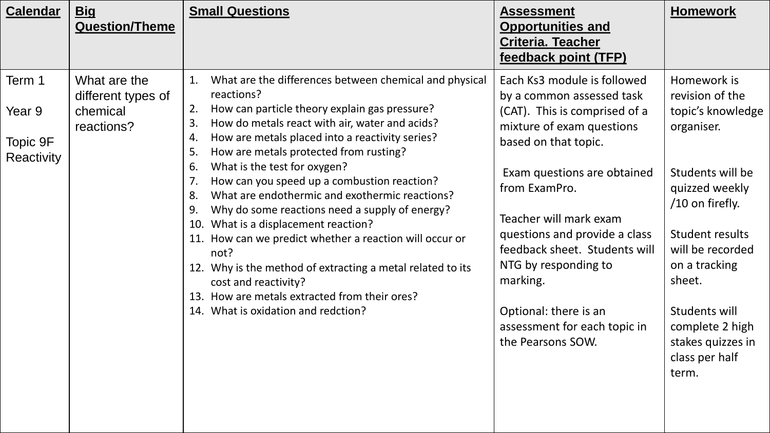| <b>Calendar</b>                            | <u>Big</u><br><b>Question/Theme</b>                          | <b>Small Questions</b>                                                                                                                                                                                                                                                                                                                                                                                                                                                                                                                                                                                                                                                                                                                                                                                       | <b>Assessment</b><br><b>Opportunities and</b><br><b>Criteria. Teacher</b><br>feedback point (TFP)                                                                                                                                                                                                                                                                                                            | <b>Homework</b>                                                                                                                                                                                                                                                                  |
|--------------------------------------------|--------------------------------------------------------------|--------------------------------------------------------------------------------------------------------------------------------------------------------------------------------------------------------------------------------------------------------------------------------------------------------------------------------------------------------------------------------------------------------------------------------------------------------------------------------------------------------------------------------------------------------------------------------------------------------------------------------------------------------------------------------------------------------------------------------------------------------------------------------------------------------------|--------------------------------------------------------------------------------------------------------------------------------------------------------------------------------------------------------------------------------------------------------------------------------------------------------------------------------------------------------------------------------------------------------------|----------------------------------------------------------------------------------------------------------------------------------------------------------------------------------------------------------------------------------------------------------------------------------|
| Term 1<br>Year 9<br>Topic 9F<br>Reactivity | What are the<br>different types of<br>chemical<br>reactions? | What are the differences between chemical and physical<br>1.<br>reactions?<br>How can particle theory explain gas pressure?<br>2.<br>How do metals react with air, water and acids?<br>3.<br>How are metals placed into a reactivity series?<br>4.<br>How are metals protected from rusting?<br>5.<br>What is the test for oxygen?<br>6.<br>How can you speed up a combustion reaction?<br>7.<br>What are endothermic and exothermic reactions?<br>8.<br>Why do some reactions need a supply of energy?<br>9.<br>What is a displacement reaction?<br>10.<br>11. How can we predict whether a reaction will occur or<br>not?<br>Why is the method of extracting a metal related to its<br>12.<br>cost and reactivity?<br>13. How are metals extracted from their ores?<br>14. What is oxidation and redction? | Each Ks3 module is followed<br>by a common assessed task<br>(CAT). This is comprised of a<br>mixture of exam questions<br>based on that topic.<br>Exam questions are obtained<br>from ExamPro.<br>Teacher will mark exam<br>questions and provide a class<br>feedback sheet. Students will<br>NTG by responding to<br>marking.<br>Optional: there is an<br>assessment for each topic in<br>the Pearsons SOW. | Homework is<br>revision of the<br>topic's knowledge<br>organiser.<br>Students will be<br>quizzed weekly<br>/10 on firefly.<br>Student results<br>will be recorded<br>on a tracking<br>sheet.<br>Students will<br>complete 2 high<br>stakes quizzes in<br>class per half<br>term. |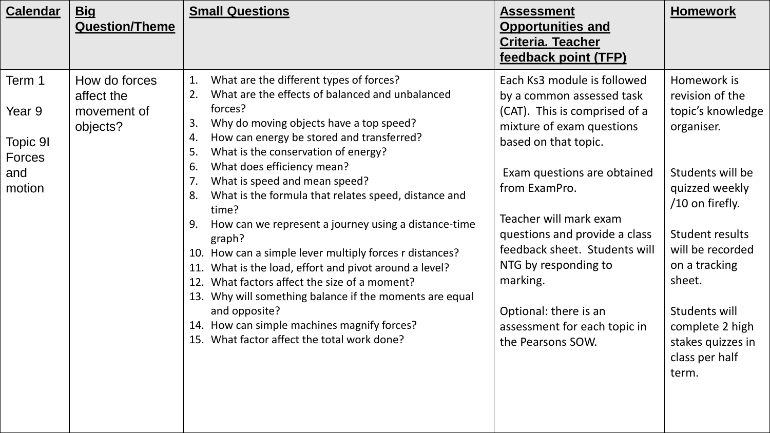| <b>Calendar</b>                                                | <u>Big</u><br><b>Question/Theme</b>                    | <b>Small Questions</b>                                                                                                                                                                                                                                                                                                                                                                                                                                                                                                                                                                                                                                                                                                                                                                                                                             | <b>Assessment</b><br><b>Opportunities and</b><br><b>Criteria. Teacher</b><br>feedback point (TFP)                                                                                                                                                                                                                                                                                                            | <b>Homework</b>                                                                                                                                                                                                                                                                    |
|----------------------------------------------------------------|--------------------------------------------------------|----------------------------------------------------------------------------------------------------------------------------------------------------------------------------------------------------------------------------------------------------------------------------------------------------------------------------------------------------------------------------------------------------------------------------------------------------------------------------------------------------------------------------------------------------------------------------------------------------------------------------------------------------------------------------------------------------------------------------------------------------------------------------------------------------------------------------------------------------|--------------------------------------------------------------------------------------------------------------------------------------------------------------------------------------------------------------------------------------------------------------------------------------------------------------------------------------------------------------------------------------------------------------|------------------------------------------------------------------------------------------------------------------------------------------------------------------------------------------------------------------------------------------------------------------------------------|
| Term 1<br>Year 9<br>Topic 91<br><b>Forces</b><br>and<br>motion | How do forces<br>affect the<br>movement of<br>objects? | What are the different types of forces?<br>1.<br>What are the effects of balanced and unbalanced<br>2.<br>forces?<br>Why do moving objects have a top speed?<br>3.<br>How can energy be stored and transferred?<br>4.<br>What is the conservation of energy?<br>5.<br>What does efficiency mean?<br>6.<br>What is speed and mean speed?<br>7.<br>What is the formula that relates speed, distance and<br>8.<br>time?<br>How can we represent a journey using a distance-time<br>9.<br>graph?<br>10. How can a simple lever multiply forces r distances?<br>What is the load, effort and pivot around a level?<br>11.<br>What factors affect the size of a moment?<br>12.<br>13. Why will something balance if the moments are equal<br>and opposite?<br>14. How can simple machines magnify forces?<br>15. What factor affect the total work done? | Each Ks3 module is followed<br>by a common assessed task<br>(CAT). This is comprised of a<br>mixture of exam questions<br>based on that topic.<br>Exam questions are obtained<br>from ExamPro.<br>Teacher will mark exam<br>questions and provide a class<br>feedback sheet. Students will<br>NTG by responding to<br>marking.<br>Optional: there is an<br>assessment for each topic in<br>the Pearsons SOW. | Homework is<br>revision of the<br>topic's knowledge<br>organiser.<br>Students will be<br>quizzed weekly<br>$/10$ on firefly.<br>Student results<br>will be recorded<br>on a tracking<br>sheet.<br>Students will<br>complete 2 high<br>stakes quizzes in<br>class per half<br>term. |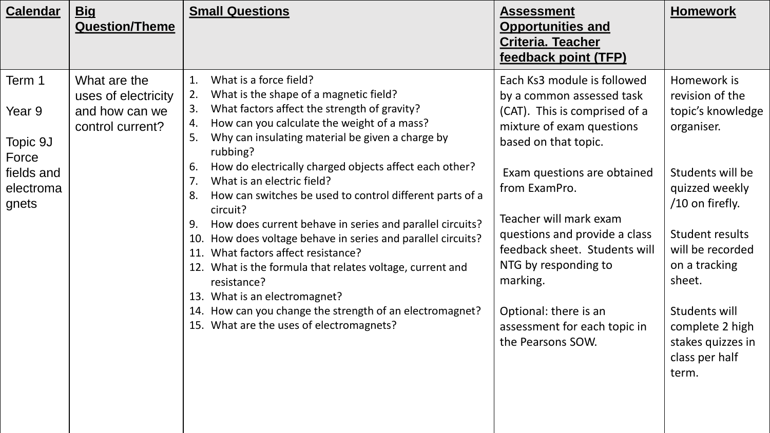| <b>Calendar</b>                                                           | <b>Big</b><br><b>Question/Theme</b>                                       | <b>Small Questions</b>                                                                                                                                                                                                                                                                                                                                                                                                                                                                                                                                                                                                                                                                                                                                                                                                                                       | <b>Assessment</b><br><b>Opportunities and</b><br><b>Criteria. Teacher</b><br>feedback point (TFP)                                                                                                                                                                                                                                                                                                            | <b>Homework</b>                                                                                                                                                                                                                                                                    |
|---------------------------------------------------------------------------|---------------------------------------------------------------------------|--------------------------------------------------------------------------------------------------------------------------------------------------------------------------------------------------------------------------------------------------------------------------------------------------------------------------------------------------------------------------------------------------------------------------------------------------------------------------------------------------------------------------------------------------------------------------------------------------------------------------------------------------------------------------------------------------------------------------------------------------------------------------------------------------------------------------------------------------------------|--------------------------------------------------------------------------------------------------------------------------------------------------------------------------------------------------------------------------------------------------------------------------------------------------------------------------------------------------------------------------------------------------------------|------------------------------------------------------------------------------------------------------------------------------------------------------------------------------------------------------------------------------------------------------------------------------------|
| Term 1<br>Year 9<br>Topic 9J<br>Force<br>fields and<br>electroma<br>gnets | What are the<br>uses of electricity<br>and how can we<br>control current? | 1.<br>What is a force field?<br>What is the shape of a magnetic field?<br>2.<br>What factors affect the strength of gravity?<br>3.<br>How can you calculate the weight of a mass?<br>4.<br>Why can insulating material be given a charge by<br>5.<br>rubbing?<br>How do electrically charged objects affect each other?<br>6.<br>7.<br>What is an electric field?<br>How can switches be used to control different parts of a<br>8.<br>circuit?<br>How does current behave in series and parallel circuits?<br>9.<br>How does voltage behave in series and parallel circuits?<br>10.<br>What factors affect resistance?<br>11.<br>What is the formula that relates voltage, current and<br>12.<br>resistance?<br>What is an electromagnet?<br>13.<br>How can you change the strength of an electromagnet?<br>14.<br>15. What are the uses of electromagnets? | Each Ks3 module is followed<br>by a common assessed task<br>(CAT). This is comprised of a<br>mixture of exam questions<br>based on that topic.<br>Exam questions are obtained<br>from ExamPro.<br>Teacher will mark exam<br>questions and provide a class<br>feedback sheet. Students will<br>NTG by responding to<br>marking.<br>Optional: there is an<br>assessment for each topic in<br>the Pearsons SOW. | Homework is<br>revision of the<br>topic's knowledge<br>organiser.<br>Students will be<br>quizzed weekly<br>$/10$ on firefly.<br>Student results<br>will be recorded<br>on a tracking<br>sheet.<br>Students will<br>complete 2 high<br>stakes quizzes in<br>class per half<br>term. |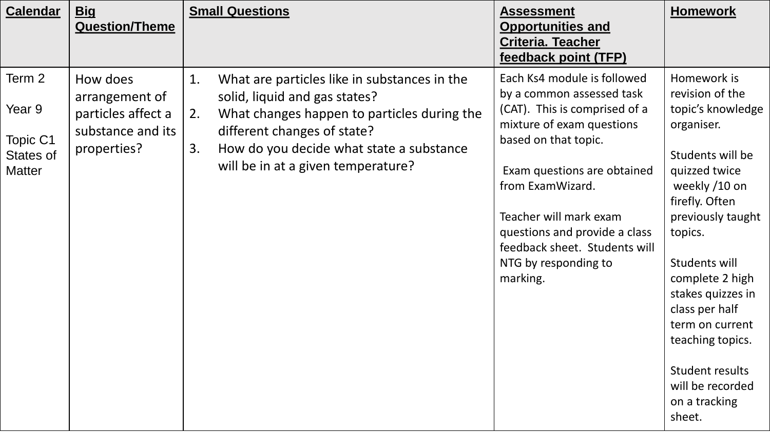| <b>Calendar</b>                                                   | <b>Big</b><br><b>Question/Theme</b>                                                  | <b>Small Questions</b>                                                                                                                                                                                                                                          | <b>Assessment</b><br><b>Opportunities and</b><br><b>Criteria. Teacher</b><br>feedback point (TFP)                                                                                                                                                                                                                                 | <b>Homework</b>                                                                                                                                                                                                                                                                                                                                               |
|-------------------------------------------------------------------|--------------------------------------------------------------------------------------|-----------------------------------------------------------------------------------------------------------------------------------------------------------------------------------------------------------------------------------------------------------------|-----------------------------------------------------------------------------------------------------------------------------------------------------------------------------------------------------------------------------------------------------------------------------------------------------------------------------------|---------------------------------------------------------------------------------------------------------------------------------------------------------------------------------------------------------------------------------------------------------------------------------------------------------------------------------------------------------------|
| Term 2<br>Year 9<br><b>Topic C1</b><br>States of<br><b>Matter</b> | How does<br>arrangement of<br>particles affect a<br>substance and its<br>properties? | 1.<br>What are particles like in substances in the<br>solid, liquid and gas states?<br>2.<br>What changes happen to particles during the<br>different changes of state?<br>3.<br>How do you decide what state a substance<br>will be in at a given temperature? | Each Ks4 module is followed<br>by a common assessed task<br>(CAT). This is comprised of a<br>mixture of exam questions<br>based on that topic.<br>Exam questions are obtained<br>from ExamWizard.<br>Teacher will mark exam<br>questions and provide a class<br>feedback sheet. Students will<br>NTG by responding to<br>marking. | Homework is<br>revision of the<br>topic's knowledge<br>organiser.<br>Students will be<br>quizzed twice<br>weekly /10 on<br>firefly. Often<br>previously taught<br>topics.<br>Students will<br>complete 2 high<br>stakes quizzes in<br>class per half<br>term on current<br>teaching topics.<br>Student results<br>will be recorded<br>on a tracking<br>sheet. |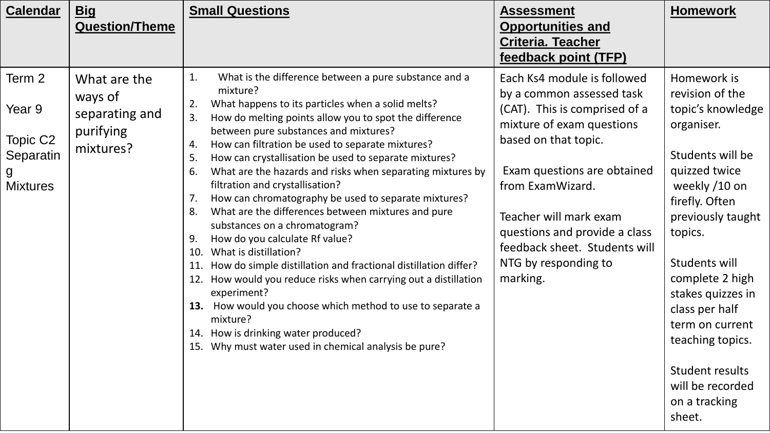| <b>Calendar</b>                                                               | <b>Big</b><br><b>Question/Theme</b>                                 | <b>Small Questions</b>                                                                                                                                                                                                                                                                                                                                                                                                                                                                                                                                                                                                                                                                                                                                                                                                                                                                                                                                                                                                                                    | <b>Assessment</b><br><b>Opportunities and</b><br><b>Criteria. Teacher</b><br>feedback point (TFP)                                                                                                                                                                                                                                 | <b>Homework</b>                                                                                                                                                                                                                                                                                                                                               |
|-------------------------------------------------------------------------------|---------------------------------------------------------------------|-----------------------------------------------------------------------------------------------------------------------------------------------------------------------------------------------------------------------------------------------------------------------------------------------------------------------------------------------------------------------------------------------------------------------------------------------------------------------------------------------------------------------------------------------------------------------------------------------------------------------------------------------------------------------------------------------------------------------------------------------------------------------------------------------------------------------------------------------------------------------------------------------------------------------------------------------------------------------------------------------------------------------------------------------------------|-----------------------------------------------------------------------------------------------------------------------------------------------------------------------------------------------------------------------------------------------------------------------------------------------------------------------------------|---------------------------------------------------------------------------------------------------------------------------------------------------------------------------------------------------------------------------------------------------------------------------------------------------------------------------------------------------------------|
| Term 2<br>Year 9<br>Topic C <sub>2</sub><br>Separatin<br>g<br><b>Mixtures</b> | What are the<br>ways of<br>separating and<br>purifying<br>mixtures? | 1.<br>What is the difference between a pure substance and a<br>mixture?<br>What happens to its particles when a solid melts?<br>2.<br>3.<br>How do melting points allow you to spot the difference<br>between pure substances and mixtures?<br>How can filtration be used to separate mixtures?<br>4.<br>5.<br>How can crystallisation be used to separate mixtures?<br>6.<br>What are the hazards and risks when separating mixtures by<br>filtration and crystallisation?<br>How can chromatography be used to separate mixtures?<br>7.<br>What are the differences between mixtures and pure<br>8.<br>substances on a chromatogram?<br>How do you calculate Rf value?<br>9.<br>What is distillation?<br>10.<br>How do simple distillation and fractional distillation differ?<br>11.<br>How would you reduce risks when carrying out a distillation<br>12.<br>experiment?<br>13. How would you choose which method to use to separate a<br>mixture?<br>14. How is drinking water produced?<br>Why must water used in chemical analysis be pure?<br>15. | Each Ks4 module is followed<br>by a common assessed task<br>(CAT). This is comprised of a<br>mixture of exam questions<br>based on that topic.<br>Exam questions are obtained<br>from ExamWizard.<br>Teacher will mark exam<br>questions and provide a class<br>feedback sheet. Students will<br>NTG by responding to<br>marking. | Homework is<br>revision of the<br>topic's knowledge<br>organiser.<br>Students will be<br>quizzed twice<br>weekly /10 on<br>firefly. Often<br>previously taught<br>topics.<br>Students will<br>complete 2 high<br>stakes quizzes in<br>class per half<br>term on current<br>teaching topics.<br>Student results<br>will be recorded<br>on a tracking<br>sheet. |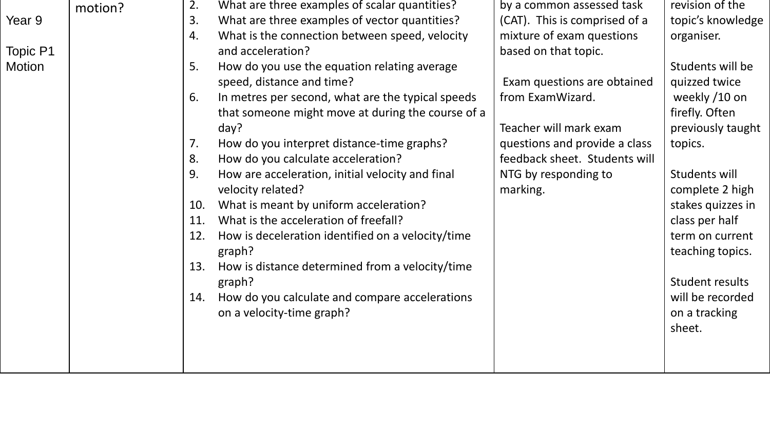| 2.      | What are three examples of scalar quantities?     | by a common assessed task                                                   | revision of the   |
|---------|---------------------------------------------------|-----------------------------------------------------------------------------|-------------------|
| 3.      | What are three examples of vector quantities?     | (CAT). This is comprised of a                                               | topic's knowledge |
| 4.      | What is the connection between speed, velocity    | mixture of exam questions                                                   | organiser.        |
|         | and acceleration?                                 | based on that topic.                                                        |                   |
| 5.      | How do you use the equation relating average      |                                                                             | Students will be  |
|         | speed, distance and time?                         | Exam questions are obtained                                                 | quizzed twice     |
| 6.      | In metres per second, what are the typical speeds | from ExamWizard.                                                            | weekly /10 on     |
|         | that someone might move at during the course of a |                                                                             | firefly. Often    |
|         | day?                                              | Teacher will mark exam                                                      | previously taught |
| 7.      | How do you interpret distance-time graphs?        | questions and provide a class                                               | topics.           |
| 8.      | How do you calculate acceleration?                | feedback sheet. Students will                                               |                   |
| 9.      | How are acceleration, initial velocity and final  | NTG by responding to                                                        | Students will     |
|         | velocity related?                                 | marking.                                                                    | complete 2 high   |
| 10.     | What is meant by uniform acceleration?            |                                                                             | stakes quizzes in |
| 11.     | What is the acceleration of freefall?             |                                                                             | class per half    |
| 12.     | How is deceleration identified on a velocity/time |                                                                             | term on current   |
|         | graph?                                            |                                                                             | teaching topics.  |
| 13.     | How is distance determined from a velocity/time   |                                                                             |                   |
|         | graph?                                            |                                                                             | Student results   |
| 14.     |                                                   |                                                                             | will be recorded  |
|         |                                                   |                                                                             | on a tracking     |
|         |                                                   |                                                                             | sheet.            |
|         |                                                   |                                                                             |                   |
|         |                                                   |                                                                             |                   |
| motion? |                                                   | How do you calculate and compare accelerations<br>on a velocity-time graph? |                   |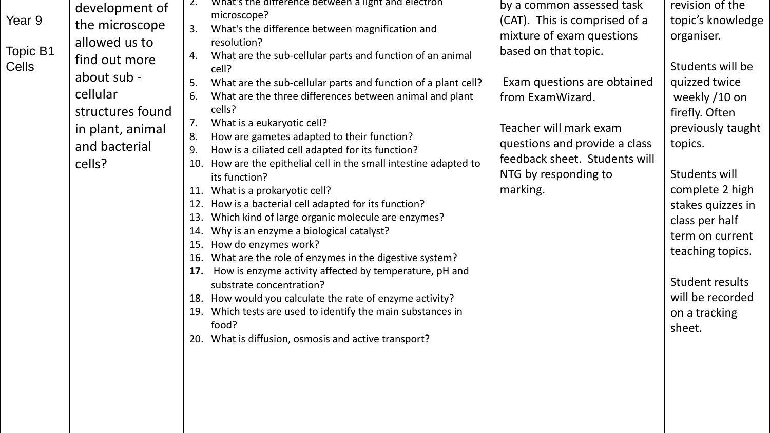| Year 9<br>Topic B1<br>Cells | development of<br>the microscope<br>allowed us to<br>find out more<br>about sub -<br>cellular<br>structures found<br>in plant, animal<br>and bacterial<br>cells? | Z.<br>3.<br>4.<br>5.<br>6.<br>7.<br>8.<br>9.<br>10.<br>11.<br>12.<br>13.<br>14.<br>15.<br>16. | What's the difference between a light and electron<br>microscope?<br>What's the difference between magnification and<br>resolution?<br>What are the sub-cellular parts and function of an animal<br>cell?<br>What are the sub-cellular parts and function of a plant cell?<br>What are the three differences between animal and plant<br>cells?<br>What is a eukaryotic cell?<br>How are gametes adapted to their function?<br>How is a ciliated cell adapted for its function?<br>How are the epithelial cell in the small intestine adapted to<br>its function?<br>What is a prokaryotic cell?<br>How is a bacterial cell adapted for its function?<br>Which kind of large organic molecule are enzymes?<br>Why is an enzyme a biological catalyst?<br>How do enzymes work?<br>What are the role of enzymes in the digestive system? | by a common assessed task<br>(CAT). This is comprised of a<br>mixture of exam questions<br>based on that topic.<br>Exam questions are obtained<br>from ExamWizard.<br>Teacher will mark exam<br>questions and provide a class<br>feedback sheet. Students will<br>NTG by responding to<br>marking. | revision of the<br>topic's knowledge<br>organiser.<br>Students will be<br>quizzed twice<br>weekly /10 on<br>firefly. Often<br>previously taught<br>topics.<br>Students will<br>complete 2 high<br>stakes quizzes in<br>class per half<br>term on current<br>teaching topics. |
|-----------------------------|------------------------------------------------------------------------------------------------------------------------------------------------------------------|-----------------------------------------------------------------------------------------------|----------------------------------------------------------------------------------------------------------------------------------------------------------------------------------------------------------------------------------------------------------------------------------------------------------------------------------------------------------------------------------------------------------------------------------------------------------------------------------------------------------------------------------------------------------------------------------------------------------------------------------------------------------------------------------------------------------------------------------------------------------------------------------------------------------------------------------------|----------------------------------------------------------------------------------------------------------------------------------------------------------------------------------------------------------------------------------------------------------------------------------------------------|------------------------------------------------------------------------------------------------------------------------------------------------------------------------------------------------------------------------------------------------------------------------------|
|                             |                                                                                                                                                                  |                                                                                               |                                                                                                                                                                                                                                                                                                                                                                                                                                                                                                                                                                                                                                                                                                                                                                                                                                        |                                                                                                                                                                                                                                                                                                    |                                                                                                                                                                                                                                                                              |
|                             |                                                                                                                                                                  | 17.<br>18.<br>19.<br>20.                                                                      | How is enzyme activity affected by temperature, pH and<br>substrate concentration?<br>How would you calculate the rate of enzyme activity?<br>Which tests are used to identify the main substances in<br>food?<br>What is diffusion, osmosis and active transport?                                                                                                                                                                                                                                                                                                                                                                                                                                                                                                                                                                     |                                                                                                                                                                                                                                                                                                    | Student results<br>will be recorded<br>on a tracking<br>sheet.                                                                                                                                                                                                               |

Year 9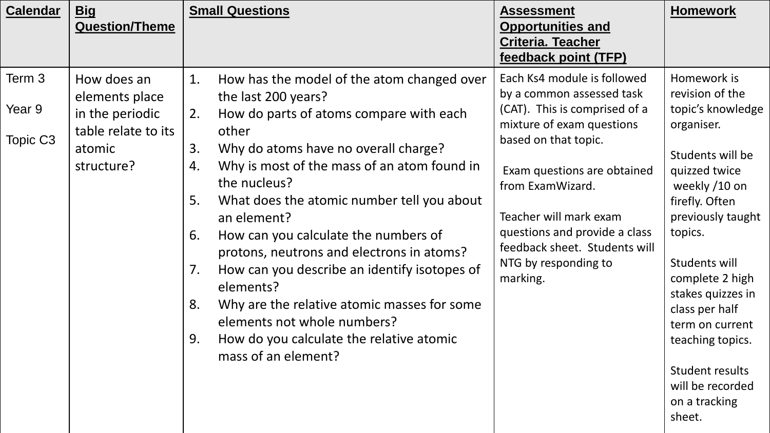| <b>Calendar</b>              | <u>Big</u><br><b>Question/Theme</b>                                                             | <b>Small Questions</b>                                                                                                                                                                                                                                                                                                                                                                                                                                                                                                                                                                                                                             | <b>Assessment</b><br><b>Opportunities and</b><br><b>Criteria. Teacher</b><br>feedback point (TFP)                                                                                                                                                                                                                                 | <b>Homework</b>                                                                                                                                                                                                                                                                                                                                               |
|------------------------------|-------------------------------------------------------------------------------------------------|----------------------------------------------------------------------------------------------------------------------------------------------------------------------------------------------------------------------------------------------------------------------------------------------------------------------------------------------------------------------------------------------------------------------------------------------------------------------------------------------------------------------------------------------------------------------------------------------------------------------------------------------------|-----------------------------------------------------------------------------------------------------------------------------------------------------------------------------------------------------------------------------------------------------------------------------------------------------------------------------------|---------------------------------------------------------------------------------------------------------------------------------------------------------------------------------------------------------------------------------------------------------------------------------------------------------------------------------------------------------------|
| Term 3<br>Year 9<br>Topic C3 | How does an<br>elements place<br>in the periodic<br>table relate to its<br>atomic<br>structure? | 1.<br>How has the model of the atom changed over<br>the last 200 years?<br>How do parts of atoms compare with each<br>2.<br>other<br>Why do atoms have no overall charge?<br>3.<br>Why is most of the mass of an atom found in<br>4.<br>the nucleus?<br>5.<br>What does the atomic number tell you about<br>an element?<br>How can you calculate the numbers of<br>6.<br>protons, neutrons and electrons in atoms?<br>How can you describe an identify isotopes of<br>7.<br>elements?<br>Why are the relative atomic masses for some<br>8.<br>elements not whole numbers?<br>How do you calculate the relative atomic<br>9.<br>mass of an element? | Each Ks4 module is followed<br>by a common assessed task<br>(CAT). This is comprised of a<br>mixture of exam questions<br>based on that topic.<br>Exam questions are obtained<br>from ExamWizard.<br>Teacher will mark exam<br>questions and provide a class<br>feedback sheet. Students will<br>NTG by responding to<br>marking. | Homework is<br>revision of the<br>topic's knowledge<br>organiser.<br>Students will be<br>quizzed twice<br>weekly /10 on<br>firefly. Often<br>previously taught<br>topics.<br>Students will<br>complete 2 high<br>stakes quizzes in<br>class per half<br>term on current<br>teaching topics.<br>Student results<br>will be recorded<br>on a tracking<br>sheet. |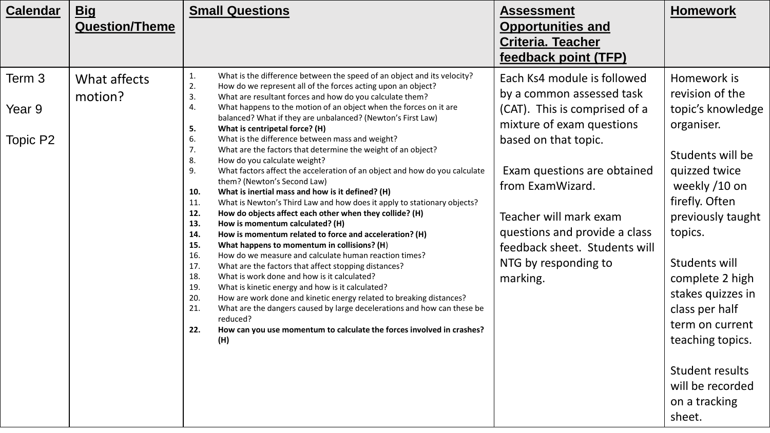| <b>Calendar</b>  | <b>Big</b><br><b>Question/Theme</b> | <b>Small Questions</b>                                                                                                                                                                                                                                                                                                                                                                                                                                                                                                                                                                                                                                                                                                                                                                                                                                                                                                                                                                                                                                                                                                                                                                  | <b>Assessment</b><br><b>Opportunities and</b><br><b>Criteria. Teacher</b><br>feedback point (TFP)                                                                                                       | <b>Homework</b>                                                                                                                                                                                                        |
|------------------|-------------------------------------|-----------------------------------------------------------------------------------------------------------------------------------------------------------------------------------------------------------------------------------------------------------------------------------------------------------------------------------------------------------------------------------------------------------------------------------------------------------------------------------------------------------------------------------------------------------------------------------------------------------------------------------------------------------------------------------------------------------------------------------------------------------------------------------------------------------------------------------------------------------------------------------------------------------------------------------------------------------------------------------------------------------------------------------------------------------------------------------------------------------------------------------------------------------------------------------------|---------------------------------------------------------------------------------------------------------------------------------------------------------------------------------------------------------|------------------------------------------------------------------------------------------------------------------------------------------------------------------------------------------------------------------------|
| Term 3<br>Year 9 | What affects<br>motion?             | What is the difference between the speed of an object and its velocity?<br>1.<br>2.<br>How do we represent all of the forces acting upon an object?<br>3.<br>What are resultant forces and how do you calculate them?<br>What happens to the motion of an object when the forces on it are<br>4.                                                                                                                                                                                                                                                                                                                                                                                                                                                                                                                                                                                                                                                                                                                                                                                                                                                                                        | Each Ks4 module is followed<br>by a common assessed task<br>(CAT). This is comprised of a                                                                                                               | Homework is<br>revision of the<br>topic's knowledge                                                                                                                                                                    |
|                  |                                     | balanced? What if they are unbalanced? (Newton's First Law)<br>What is centripetal force? (H)<br>5.                                                                                                                                                                                                                                                                                                                                                                                                                                                                                                                                                                                                                                                                                                                                                                                                                                                                                                                                                                                                                                                                                     | mixture of exam questions                                                                                                                                                                               | organiser.                                                                                                                                                                                                             |
| Topic P2         |                                     | What is the difference between mass and weight?<br>6.<br>7.<br>What are the factors that determine the weight of an object?<br>How do you calculate weight?<br>8.<br>9.<br>What factors affect the acceleration of an object and how do you calculate<br>them? (Newton's Second Law)<br>What is inertial mass and how is it defined? (H)<br>10.<br>What is Newton's Third Law and how does it apply to stationary objects?<br>11.<br>How do objects affect each other when they collide? (H)<br>12.<br>13.<br>How is momentum calculated? (H)<br>How is momentum related to force and acceleration? (H)<br>14.<br>15.<br>What happens to momentum in collisions? (H)<br>How do we measure and calculate human reaction times?<br>16.<br>17.<br>What are the factors that affect stopping distances?<br>18.<br>What is work done and how is it calculated?<br>19.<br>What is kinetic energy and how is it calculated?<br>20.<br>How are work done and kinetic energy related to breaking distances?<br>21.<br>What are the dangers caused by large decelerations and how can these be<br>reduced?<br>How can you use momentum to calculate the forces involved in crashes?<br>22.<br>(H) | based on that topic.<br>Exam questions are obtained<br>from ExamWizard.<br>Teacher will mark exam<br>questions and provide a class<br>feedback sheet. Students will<br>NTG by responding to<br>marking. | Students will be<br>quizzed twice<br>weekly /10 on<br>firefly. Often<br>previously taught<br>topics.<br>Students will<br>complete 2 high<br>stakes quizzes in<br>class per half<br>term on current<br>teaching topics. |
|                  |                                     |                                                                                                                                                                                                                                                                                                                                                                                                                                                                                                                                                                                                                                                                                                                                                                                                                                                                                                                                                                                                                                                                                                                                                                                         |                                                                                                                                                                                                         | Student results<br>will be recorded<br>on a tracking<br>sheet.                                                                                                                                                         |